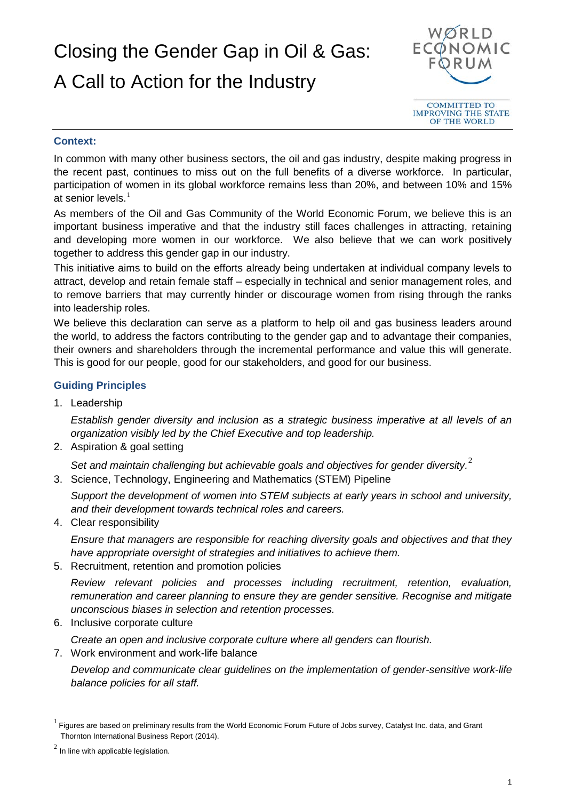Closing the Gender Gap in Oil & Gas:

## A Call to Action for the Industry



## **Context:**

In common with many other business sectors, the oil and gas industry, despite making progress in the recent past, continues to miss out on the full benefits of a diverse workforce. In particular, participation of women in its global workforce remains less than 20%, and between 10% and 15% at senior levels. $<sup>1</sup>$  $<sup>1</sup>$  $<sup>1</sup>$ </sup>

As members of the Oil and Gas Community of the World Economic Forum, we believe this is an important business imperative and that the industry still faces challenges in attracting, retaining and developing more women in our workforce. We also believe that we can work positively together to address this gender gap in our industry.

This initiative aims to build on the efforts already being undertaken at individual company levels to attract, develop and retain female staff – especially in technical and senior management roles, and to remove barriers that may currently hinder or discourage women from rising through the ranks into leadership roles.

We believe this declaration can serve as a platform to help oil and gas business leaders around the world, to address the factors contributing to the gender gap and to advantage their companies, their owners and shareholders through the incremental performance and value this will generate. This is good for our people, good for our stakeholders, and good for our business.

## **Guiding Principles**

1. Leadership

*Establish gender diversity and inclusion as a strategic business imperative at all levels of an organization visibly led by the Chief Executive and top leadership.*

2. Aspiration & goal setting

*Set and maintain challenging but achievable goals and objectives for gender diversity.* [2](#page-0-1)

3. Science, Technology, Engineering and Mathematics (STEM) Pipeline

*Support the development of women into STEM subjects at early years in school and university, and their development towards technical roles and careers.*

4. Clear responsibility

*Ensure that managers are responsible for reaching diversity goals and objectives and that they have appropriate oversight of strategies and initiatives to achieve them.*

5. Recruitment, retention and promotion policies

*Review relevant policies and processes including recruitment, retention, evaluation, remuneration and career planning to ensure they are gender sensitive. Recognise and mitigate unconscious biases in selection and retention processes.*

6. Inclusive corporate culture

*Create an open and inclusive corporate culture where all genders can flourish.*

7. Work environment and work-life balance

*Develop and communicate clear guidelines on the implementation of gender-sensitive work-life balance policies for all staff.*

<span id="page-0-0"></span> $^1$  Figures are based on preliminary results from the World Economic Forum Future of Jobs survey, Catalyst Inc. data, and Grant Thornton International Business Report (2014).

<span id="page-0-1"></span> $<sup>2</sup>$  In line with applicable legislation.</sup>